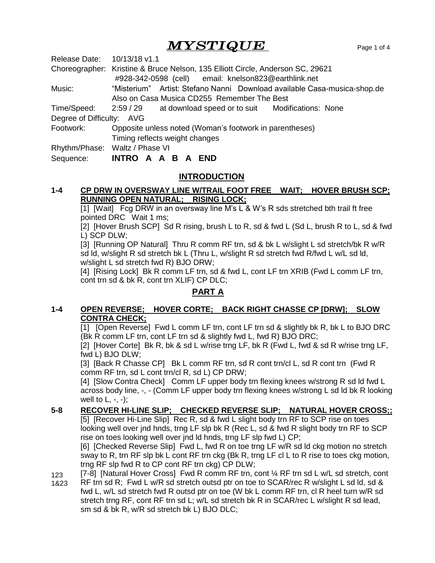# $\boldsymbol{M} \boldsymbol{Y} \boldsymbol{S}\boldsymbol{T} \boldsymbol{I}\boldsymbol{Q} \boldsymbol{U}\boldsymbol{E}$   $\boldsymbol{P}$   $\boldsymbol{P}$   $\boldsymbol{P}$   $\boldsymbol{S}$   $\boldsymbol{P}$   $\boldsymbol{S}$   $\boldsymbol{S}$   $\boldsymbol{I}$   $\boldsymbol{S}$   $\boldsymbol{I}$

| Release Date: 10/13/18 v1.1 |                                                                                |
|-----------------------------|--------------------------------------------------------------------------------|
|                             | Choreographer: Kristine & Bruce Nelson, 135 Elliott Circle, Anderson SC, 29621 |
|                             | #928-342-0598 (cell) email: knelson823@earthlink.net                           |
| Music:                      | "Misterium" Artist: Stefano Nanni Download available Casa-musica-shop.de       |
|                             | Also on Casa Musica CD255 Remember The Best                                    |
|                             | Time/Speed: 2:59 / 29 at download speed or to suit Modifications: None         |
| Degree of Difficulty: AVG   |                                                                                |
| Footwork:                   | Opposite unless noted (Woman's footwork in parentheses)                        |
|                             | Timing reflects weight changes                                                 |
|                             | Rhythm/Phase: Waltz / Phase VI                                                 |
| Sequence:                   | INTRO A A B A<br><b>END</b>                                                    |

# **INTRODUCTION**

## **1-4 CP DRW IN OVERSWAY LINE W/TRAIL FOOT FREE WAIT; HOVER BRUSH SCP; RUNNING OPEN NATURAL; RISING LOCK;**

[1] [Wait] Fcg DRW in an oversway line M's L & W's R sds stretched bth trail ft free pointed DRC Wait 1 ms;

[2] [Hover Brush SCP] Sd R rising, brush L to R, sd & fwd L (Sd L, brush R to L, sd & fwd L) SCP DLW;

[3] [Running OP Natural] Thru R comm RF trn, sd & bk L w/slight L sd stretch/bk R w/R sd ld, w/slight R sd stretch bk L (Thru L, w/slight R sd stretch fwd R/fwd L w/L sd ld, w/slight L sd stretch fwd R) BJO DRW;

[4] [Rising Lock] Bk R comm LF trn, sd & fwd L, cont LF trn XRIB (Fwd L comm LF trn, cont trn sd & bk R, cont trn XLIF) CP DLC;

# **PART A**

## **1-4 OPEN REVERSE; HOVER CORTE; BACK RIGHT CHASSE CP [DRW]; SLOW CONTRA CHECK;**

[1] [Open Reverse] Fwd L comm LF trn, cont LF trn sd & slightly bk R, bk L to BJO DRC (Bk R comm LF trn, cont LF trn sd & slightly fwd L, fwd R) BJO DRC;

[2] [Hover Corte] Bk R, bk & sd L w/rise trng LF, bk R (Fwd L, fwd & sd R w/rise trng LF, fwd L) BJO DLW;

[3] [Back R Chasse CP] Bk L comm RF trn, sd R cont trn/cl L, sd R cont trn (Fwd R comm RF trn, sd L cont trn/cl R, sd L) CP DRW;

[4] [Slow Contra Check] Comm LF upper body trn flexing knees w/strong R sd ld fwd L across body line, -, - (Comm LF upper body trn flexing knees w/strong L sd ld bk R looking well to  $L, -, -$ );

#### **5-8 RECOVER HI-LINE SLIP; CHECKED REVERSE SLIP; NATURAL HOVER CROSS;;**

[5] [Recover Hi-Line Slip] Rec R, sd & fwd L slight body trn RF to SCP rise on toes looking well over jnd hnds, trng LF slp bk R (Rec L, sd & fwd R slight body trn RF to SCP rise on toes looking well over jnd ld hnds, trng LF slp fwd L) CP;

[6] [Checked Reverse Slip] Fwd L, fwd R on toe trng LF w/R sd ld ckg motion no stretch sway to R, trn RF slp bk L cont RF trn ckg (Bk R, trng LF cl L to R rise to toes ckg motion, trng RF slp fwd R to CP cont RF trn ckg) CP DLW;

123 [7-8] [Natural Hover Cross] Fwd R comm RF trn, cont 1/4 RF trn sd L w/L sd stretch, cont

1&23 RF trn sd R; Fwd L w/R sd stretch outsd ptr on toe to SCAR/rec R w/slight L sd ld, sd & fwd L, w/L sd stretch fwd R outsd ptr on toe (W bk L comm RF trn, cl R heel turn w/R sd stretch trng RF, cont RF trn sd L; w/L sd stretch bk R in SCAR/rec L w/slight R sd lead, sm sd & bk R, w/R sd stretch bk L) BJO DLC;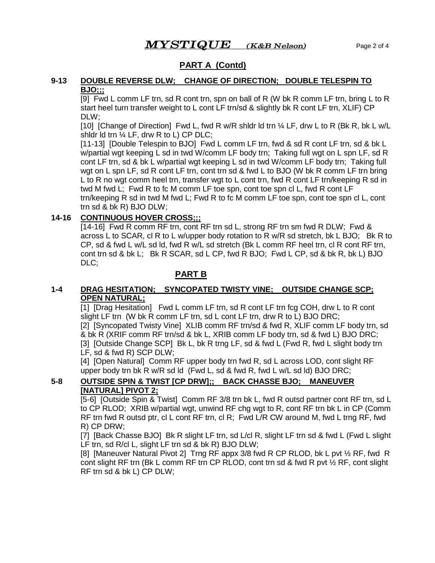# **PART A (Contd)**

#### **9-13 DOUBLE REVERSE DLW; CHANGE OF DIRECTION; DOUBLE TELESPIN TO BJO;;;**

[9] Fwd L comm LF trn, sd R cont trn, spn on ball of R (W bk R comm LF trn, bring L to R start heel turn transfer weight to L cont LF trn/sd & slightly bk R cont LF trn, XLIF) CP DLW;

[10] [Change of Direction] Fwd L, fwd R w/R shldr ld trn ¼ LF, drw L to R (Bk R, bk L w/L shidr id trn  $\frac{1}{4}$  LF, drw R to L) CP DLC;

[11-13] [Double Telespin to BJO] Fwd L comm LF trn, fwd & sd R cont LF trn, sd & bk L w/partial wgt keeping L sd in twd W/comm LF body trn; Taking full wgt on L spn LF, sd R cont LF trn, sd & bk L w/partial wgt keeping L sd in twd W/comm LF body trn; Taking full wgt on L spn LF, sd R cont LF trn, cont trn sd & fwd L to BJO (W bk R comm LF trn bring L to R no wgt comm heel trn, transfer wgt to L cont trn, fwd R cont LF trn/keeping R sd in twd M fwd L; Fwd R to fc M comm LF toe spn, cont toe spn cl L, fwd R cont LF trn/keeping R sd in twd M fwd L; Fwd R to fc M comm LF toe spn, cont toe spn cl L, cont trn sd & bk R) BJO DLW;

#### **14-16 CONTINUOUS HOVER CROSS;;;**

[14-16] Fwd R comm RF trn, cont RF trn sd L, strong RF trn sm fwd R DLW; Fwd & across L to SCAR, cl R to L w/upper body rotation to R w/R sd stretch, bk L BJO; Bk R to CP, sd & fwd L w/L sd ld, fwd R w/L sd stretch (Bk L comm RF heel trn, cl R cont RF trn, cont trn sd & bk L; Bk R SCAR, sd L CP, fwd R BJO; Fwd L CP, sd & bk R, bk L) BJO DLC;

## **PART B**

#### **1-4 DRAG HESITATION; SYNCOPATED TWISTY VINE; OUTSIDE CHANGE SCP; OPEN NATURAL;**

[1] [Drag Hesitation] Fwd L comm LF trn, sd R cont LF trn fcg COH, drw L to R cont slight LF trn (W bk R comm LF trn, sd L cont LF trn, drw R to L) BJO DRC; [2] [Syncopated Twisty Vine] XLIB comm RF trn/sd & fwd R, XLIF comm LF body trn, sd & bk R (XRIF comm RF trn/sd & bk L, XRIB comm LF body trn, sd & fwd L) BJO DRC; [3] [Outside Change SCP] Bk L, bk R trng LF, sd & fwd L (Fwd R, fwd L slight body trn LF, sd & fwd R) SCP DLW;

[4] [Open Natural] Comm RF upper body trn fwd R, sd L across LOD, cont slight RF upper body trn bk R w/R sd ld (Fwd L, sd & fwd R, fwd L w/L sd ld) BJO DRC;

## **5-8 OUTSIDE SPIN & TWIST [CP DRW];; BACK CHASSE BJO; MANEUVER [NATURAL] PIVOT 2;**

[5-6] [Outside Spin & Twist] Comm RF 3/8 trn bk L, fwd R outsd partner cont RF trn, sd L to CP RLOD; XRIB w/partial wgt, unwind RF chg wgt to R, cont RF trn bk L in CP (Comm RF trn fwd R outsd ptr, cl L cont RF trn, cl R; Fwd L/R CW around M, fwd L trng RF, fwd R) CP DRW;

[7] [Back Chasse BJO] Bk R slight LF trn, sd L/cl R, slight LF trn sd & fwd L (Fwd L slight LF trn, sd R/cl L, slight LF trn sd & bk R) BJO DLW;

[8] [Maneuver Natural Pivot 2] Trng RF appx 3/8 fwd R CP RLOD, bk L pvt ½ RF, fwd R cont slight RF trn (Bk L comm RF trn CP RLOD, cont trn sd & fwd R pvt ½ RF, cont slight RF trn sd & bk L) CP DLW;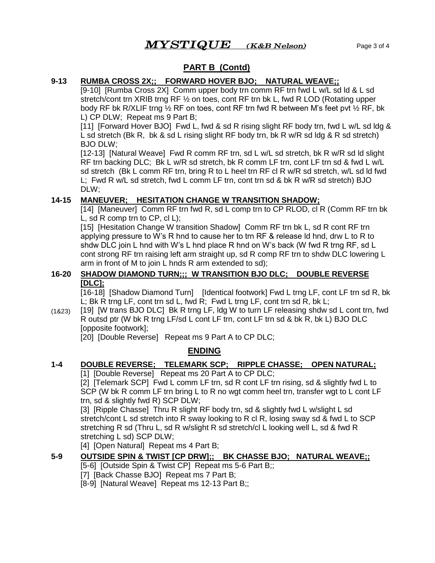# **PART B (Contd)**

#### **9-13 RUMBA CROSS 2X;; FORWARD HOVER BJO; NATURAL WEAVE;;**

[9-10] [Rumba Cross 2X] Comm upper body trn comm RF trn fwd L w/L sd ld & L sd stretch/cont trn XRIB trng RF ½ on toes, cont RF trn bk L, fwd R LOD (Rotating upper body RF bk R/XLIF trng ½ RF on toes, cont RF trn fwd R between M's feet pvt ½ RF, bk L) CP DLW; Repeat ms 9 Part B;

[11] [Forward Hover BJO] Fwd L, fwd & sd R rising slight RF body trn, fwd L w/L sd ldg & L sd stretch (Bk R, bk & sd L rising slight RF body trn, bk R w/R sd ldg & R sd stretch) BJO DLW;

[12-13] [Natural Weave] Fwd R comm RF trn, sd L w/L sd stretch, bk R w/R sd ld slight RF trn backing DLC; Bk L w/R sd stretch, bk R comm LF trn, cont LF trn sd & fwd L w/L sd stretch (Bk L comm RF trn, bring R to L heel trn RF cl R w/R sd stretch, w/L sd ld fwd L; Fwd R w/L sd stretch, fwd L comm LF trn, cont trn sd & bk R w/R sd stretch) BJO DLW;

## **14-15 MANEUVER; HESITATION CHANGE W TRANSITION SHADOW;**

[14] [Maneuver] Comm RF trn fwd R, sd L comp trn to CP RLOD, cl R (Comm RF trn bk L, sd R comp trn to CP, cl L);

[15] [Hesitation Change W transition Shadow] Comm RF trn bk L, sd R cont RF trn applying pressure to W's R hnd to cause her to trn RF & release ld hnd, drw L to R to shdw DLC join L hnd with W's L hnd place R hnd on W's back (W fwd R trng RF, sd L cont strong RF trn raising left arm straight up, sd R comp RF trn to shdw DLC lowering L arm in front of M to join L hnds R arm extended to sd);

#### **16-20 SHADOW DIAMOND TURN;;; W TRANSITION BJO DLC; DOUBLE REVERSE [DLC];**

[16-18] [Shadow Diamond Turn] [Identical footwork] Fwd L trng LF, cont LF trn sd R, bk L; Bk R trng LF, cont trn sd L, fwd R; Fwd L trng LF, cont trn sd R, bk L;

(1&23) [19] [W trans BJO DLC] Bk R trng LF, ldg W to turn LF releasing shdw sd L cont trn, fwd R outsd ptr (W bk R trng LF/sd L cont LF trn, cont LF trn sd & bk R, bk L) BJO DLC [opposite footwork];

[20] [Double Reverse] Repeat ms 9 Part A to CP DLC;

# **ENDING**

# **1-4 DOUBLE REVERSE; TELEMARK SCP; RIPPLE CHASSE; OPEN NATURAL;**

[1] [Double Reverse] Repeat ms 20 Part A to CP DLC;

[2] [Telemark SCP] Fwd L comm LF trn, sd R cont LF trn rising, sd & slightly fwd L to SCP (W bk R comm LF trn bring L to R no wgt comm heel trn, transfer wgt to L cont LF trn, sd & slightly fwd R) SCP DLW;

[3] [Ripple Chasse] Thru R slight RF body trn, sd & slightly fwd L w/slight L sd stretch/cont L sd stretch into R sway looking to R cl R, losing sway sd & fwd L to SCP stretching R sd (Thru L, sd R w/slight R sd stretch/cl L looking well L, sd & fwd R stretching L sd) SCP DLW;

[4] [Open Natural] Repeat ms 4 Part B;

# **5-9 OUTSIDE SPIN & TWIST [CP DRW];; BK CHASSE BJO; NATURAL WEAVE;;**

[5-6] [Outside Spin & Twist CP] Repeat ms 5-6 Part B;;

[7] [Back Chasse BJO] Repeat ms 7 Part B;

[8-9] [Natural Weave] Repeat ms 12-13 Part B;;